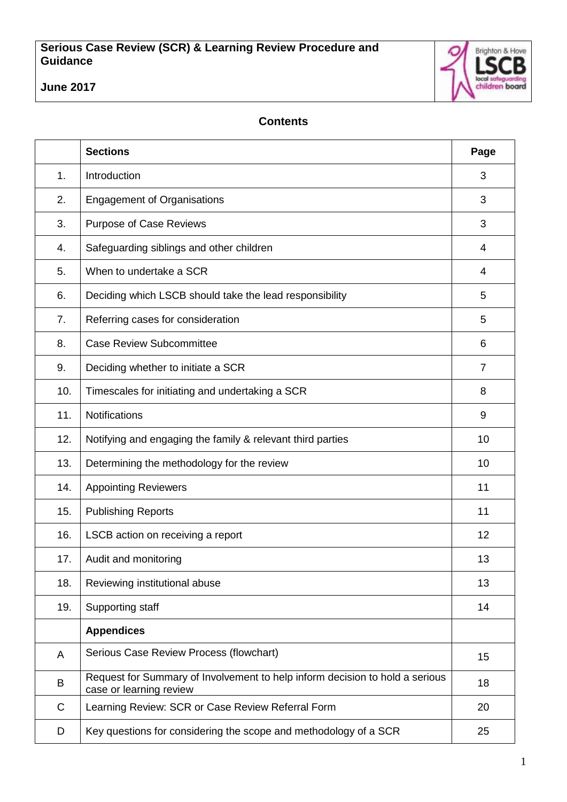

# **June 2017**

# **Contents**

|     | <b>Sections</b>                                                                                         | Page           |
|-----|---------------------------------------------------------------------------------------------------------|----------------|
| 1.  | Introduction                                                                                            | 3              |
| 2.  | <b>Engagement of Organisations</b>                                                                      | 3              |
| 3.  | <b>Purpose of Case Reviews</b>                                                                          | 3              |
| 4.  | Safeguarding siblings and other children                                                                | 4              |
| 5.  | When to undertake a SCR                                                                                 | 4              |
| 6.  | Deciding which LSCB should take the lead responsibility                                                 | 5              |
| 7.  | Referring cases for consideration                                                                       | 5              |
| 8.  | <b>Case Review Subcommittee</b>                                                                         | 6              |
| 9.  | Deciding whether to initiate a SCR                                                                      | $\overline{7}$ |
| 10. | Timescales for initiating and undertaking a SCR                                                         | 8              |
| 11. | Notifications                                                                                           | 9              |
| 12. | Notifying and engaging the family & relevant third parties                                              | 10             |
| 13. | Determining the methodology for the review                                                              | 10             |
| 14. | <b>Appointing Reviewers</b>                                                                             | 11             |
| 15. | <b>Publishing Reports</b>                                                                               | 11             |
| 16. | LSCB action on receiving a report                                                                       | 12             |
| 17. | Audit and monitoring                                                                                    | 13             |
| 18. | Reviewing institutional abuse                                                                           | 13             |
| 19. | Supporting staff                                                                                        | 14             |
|     | <b>Appendices</b>                                                                                       |                |
| A   | Serious Case Review Process (flowchart)                                                                 | 15             |
| B   | Request for Summary of Involvement to help inform decision to hold a serious<br>case or learning review | 18             |
| C   | Learning Review: SCR or Case Review Referral Form                                                       | 20             |
| D   | Key questions for considering the scope and methodology of a SCR                                        | 25             |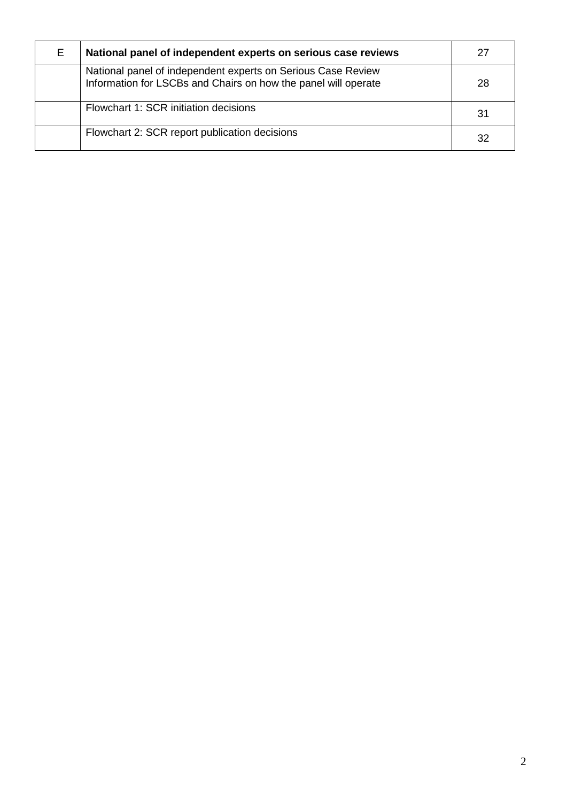<span id="page-1-0"></span>

| E. | National panel of independent experts on serious case reviews                                                                  | 27 |
|----|--------------------------------------------------------------------------------------------------------------------------------|----|
|    | National panel of independent experts on Serious Case Review<br>Information for LSCBs and Chairs on how the panel will operate | 28 |
|    | Flowchart 1: SCR initiation decisions                                                                                          | 31 |
|    | Flowchart 2: SCR report publication decisions                                                                                  | 32 |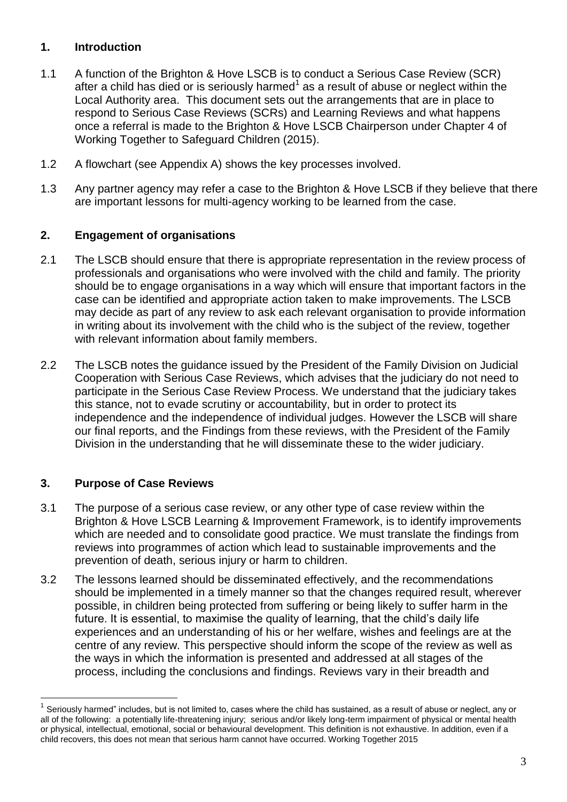# **1. Introduction**

- 1.1 A function of the Brighton & Hove LSCB is to conduct a Serious Case Review (SCR) after a child has died or is seriously harmed $<sup>1</sup>$  as a result of abuse or neglect within the</sup> Local Authority area. This document sets out the arrangements that are in place to respond to Serious Case Reviews (SCRs) and Learning Reviews and what happens once a referral is made to the Brighton & Hove LSCB Chairperson under Chapter 4 of Working Together to Safeguard Children (2015).
- 1.2 A flowchart (see Appendix A) shows the key processes involved.
- 1.3 Any partner agency may refer a case to the Brighton & Hove LSCB if they believe that there are important lessons for multi-agency working to be learned from the case.

# <span id="page-2-0"></span>**2. Engagement of organisations**

- 2.1 The LSCB should ensure that there is appropriate representation in the review process of professionals and organisations who were involved with the child and family. The priority should be to engage organisations in a way which will ensure that important factors in the case can be identified and appropriate action taken to make improvements. The LSCB may decide as part of any review to ask each relevant organisation to provide information in writing about its involvement with the child who is the subject of the review, together with relevant information about family members.
- 2.2 The LSCB notes the guidance issued by the President of the Family Division on Judicial Cooperation with Serious Case Reviews, which advises that the judiciary do not need to participate in the Serious Case Review Process. We understand that the judiciary takes this stance, not to evade scrutiny or accountability, but in order to protect its independence and the independence of individual judges. However the LSCB will share our final reports, and the Findings from these reviews, with the President of the Family Division in the understanding that he will disseminate these to the wider judiciary.

# <span id="page-2-1"></span>**3. Purpose of Case Reviews**

 $\overline{a}$ 

- 3.1 The purpose of a serious case review, or any other type of case review within the Brighton & Hove LSCB Learning & Improvement Framework, is to identify improvements which are needed and to consolidate good practice. We must translate the findings from reviews into programmes of action which lead to sustainable improvements and the prevention of death, serious injury or harm to children.
- 3.2 The lessons learned should be disseminated effectively, and the recommendations should be implemented in a timely manner so that the changes required result, wherever possible, in children being protected from suffering or being likely to suffer harm in the future. It is essential, to maximise the quality of learning, that the child's daily life experiences and an understanding of his or her welfare, wishes and feelings are at the centre of any review. This perspective should inform the scope of the review as well as the ways in which the information is presented and addressed at all stages of the process, including the conclusions and findings. Reviews vary in their breadth and

<sup>1</sup> Seriously harmed" includes, but is not limited to, cases where the child has sustained, as a result of abuse or neglect, any or all of the following: a potentially life-threatening injury; serious and/or likely long-term impairment of physical or mental health or physical, intellectual, emotional, social or behavioural development. This definition is not exhaustive. In addition, even if a child recovers, this does not mean that serious harm cannot have occurred. Working Together 2015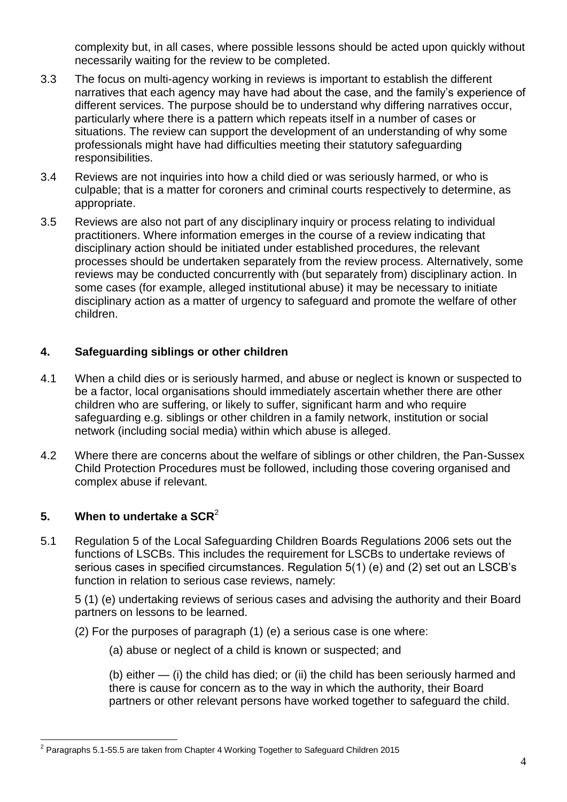complexity but, in all cases, where possible lessons should be acted upon quickly without necessarily waiting for the review to be completed.

- 3.3 The focus on multi-agency working in reviews is important to establish the different narratives that each agency may have had about the case, and the family's experience of different services. The purpose should be to understand why differing narratives occur, particularly where there is a pattern which repeats itself in a number of cases or situations. The review can support the development of an understanding of why some professionals might have had difficulties meeting their statutory safeguarding responsibilities.
- 3.4 Reviews are not inquiries into how a child died or was seriously harmed, or who is culpable; that is a matter for coroners and criminal courts respectively to determine, as appropriate.
- 3.5 Reviews are also not part of any disciplinary inquiry or process relating to individual practitioners. Where information emerges in the course of a review indicating that disciplinary action should be initiated under established procedures, the relevant processes should be undertaken separately from the review process. Alternatively, some reviews may be conducted concurrently with (but separately from) disciplinary action. In some cases (for example, alleged institutional abuse) it may be necessary to initiate disciplinary action as a matter of urgency to safeguard and promote the welfare of other children.

# <span id="page-3-0"></span>**4. Safeguarding siblings or other children**

- 4.1 When a child dies or is seriously harmed, and abuse or neglect is known or suspected to be a factor, local organisations should immediately ascertain whether there are other children who are suffering, or likely to suffer, significant harm and who require safeguarding e.g. siblings or other children in a family network, institution or social network (including social media) within which abuse is alleged.
- 4.2 Where there are concerns about the welfare of siblings or other children, the Pan-Sussex Child Protection Procedures must be followed, including those covering organised and complex abuse if relevant.

# <span id="page-3-1"></span>**5. When to undertake a SCR**<sup>2</sup>

5.1 Regulation 5 of the Local Safeguarding Children Boards Regulations 2006 sets out the functions of LSCBs. This includes the requirement for LSCBs to undertake reviews of serious cases in specified circumstances. Regulation 5(1) (e) and (2) set out an LSCB's function in relation to serious case reviews, namely:

5 (1) (e) undertaking reviews of serious cases and advising the authority and their Board partners on lessons to be learned.

- (2) For the purposes of paragraph (1) (e) a serious case is one where:
	- (a) abuse or neglect of a child is known or suspected; and

(b) either — (i) the child has died; or (ii) the child has been seriously harmed and there is cause for concern as to the way in which the authority, their Board partners or other relevant persons have worked together to safeguard the child.

 2 Paragraphs 5.1-55.5 are taken from Chapter 4 Working Together to Safeguard Children 2015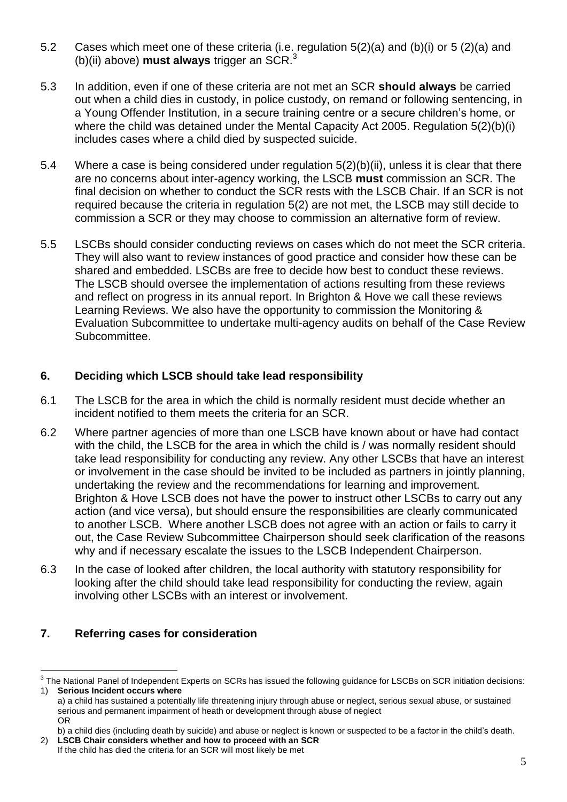- 5.2 Cases which meet one of these criteria (i.e. regulation 5(2)(a) and (b)(i) or 5 (2)(a) and (b)(ii) above) **must always** trigger an SCR.<sup>3</sup>
- 5.3 In addition, even if one of these criteria are not met an SCR **should always** be carried out when a child dies in custody, in police custody, on remand or following sentencing, in a Young Offender Institution, in a secure training centre or a secure children's home, or where the child was detained under the Mental Capacity Act 2005. Regulation 5(2)(b)(i) includes cases where a child died by suspected suicide.
- 5.4 Where a case is being considered under regulation 5(2)(b)(ii), unless it is clear that there are no concerns about inter-agency working, the LSCB **must** commission an SCR. The final decision on whether to conduct the SCR rests with the LSCB Chair. If an SCR is not required because the criteria in regulation 5(2) are not met, the LSCB may still decide to commission a SCR or they may choose to commission an alternative form of review.
- 5.5 LSCBs should consider conducting reviews on cases which do not meet the SCR criteria. They will also want to review instances of good practice and consider how these can be shared and embedded. LSCBs are free to decide how best to conduct these reviews. The LSCB should oversee the implementation of actions resulting from these reviews and reflect on progress in its annual report. In Brighton & Hove we call these reviews Learning Reviews. We also have the opportunity to commission the Monitoring & Evaluation Subcommittee to undertake multi-agency audits on behalf of the Case Review Subcommittee.

# <span id="page-4-0"></span>**6. Deciding which LSCB should take lead responsibility**

- 6.1 The LSCB for the area in which the child is normally resident must decide whether an incident notified to them meets the criteria for an SCR.
- 6.2 Where partner agencies of more than one LSCB have known about or have had contact with the child, the LSCB for the area in which the child is / was normally resident should take lead responsibility for conducting any review. Any other LSCBs that have an interest or involvement in the case should be invited to be included as partners in jointly planning, undertaking the review and the recommendations for learning and improvement. Brighton & Hove LSCB does not have the power to instruct other LSCBs to carry out any action (and vice versa), but should ensure the responsibilities are clearly communicated to another LSCB. Where another LSCB does not agree with an action or fails to carry it out, the Case Review Subcommittee Chairperson should seek clarification of the reasons why and if necessary escalate the issues to the LSCB Independent Chairperson.
- 6.3 In the case of looked after children, the local authority with statutory responsibility for looking after the child should take lead responsibility for conducting the review, again involving other LSCBs with an interest or involvement.

# <span id="page-4-1"></span>**7. Referring cases for consideration**

 $\overline{a}$ 

 $^3$  The National Panel of Independent Experts on SCRs has issued the following guidance for LSCBs on SCR initiation decisions: 1) **Serious Incident occurs where**

a) a child has sustained a potentially life threatening injury through abuse or neglect, serious sexual abuse, or sustained serious and permanent impairment of heath or development through abuse of neglect OR

b) a child dies (including death by suicide) and abuse or neglect is known or suspected to be a factor in the child's death. 2) **LSCB Chair considers whether and how to proceed with an SCR** 

If the child has died the criteria for an SCR will most likely be met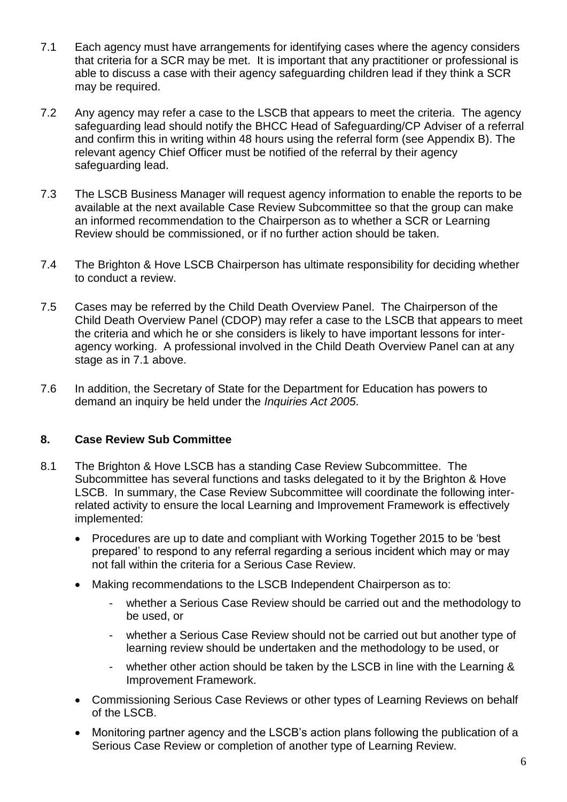- 7.1 Each agency must have arrangements for identifying cases where the agency considers that criteria for a SCR may be met. It is important that any practitioner or professional is able to discuss a case with their agency safeguarding children lead if they think a SCR may be required.
- 7.2 Any agency may refer a case to the LSCB that appears to meet the criteria. The agency safeguarding lead should notify the BHCC Head of Safeguarding/CP Adviser of a referral and confirm this in writing within 48 hours using the referral form (see Appendix B). The relevant agency Chief Officer must be notified of the referral by their agency safeguarding lead.
- 7.3 The LSCB Business Manager will request agency information to enable the reports to be available at the next available Case Review Subcommittee so that the group can make an informed recommendation to the Chairperson as to whether a SCR or Learning Review should be commissioned, or if no further action should be taken.
- 7.4 The Brighton & Hove LSCB Chairperson has ultimate responsibility for deciding whether to conduct a review.
- 7.5 Cases may be referred by the Child Death Overview Panel. The Chairperson of the Child Death Overview Panel (CDOP) may refer a case to the LSCB that appears to meet the criteria and which he or she considers is likely to have important lessons for interagency working. A professional involved in the Child Death Overview Panel can at any stage as in 7.1 above.
- 7.6 In addition, the Secretary of State for the Department for Education has powers to demand an inquiry be held under the *Inquiries Act 2005*.

# <span id="page-5-0"></span>**8. Case Review Sub Committee**

- 8.1 The Brighton & Hove LSCB has a standing Case Review Subcommittee. The Subcommittee has several functions and tasks delegated to it by the Brighton & Hove LSCB. In summary, the Case Review Subcommittee will coordinate the following interrelated activity to ensure the local Learning and Improvement Framework is effectively implemented:
	- Procedures are up to date and compliant with Working Together 2015 to be 'best prepared' to respond to any referral regarding a serious incident which may or may not fall within the criteria for a Serious Case Review.
	- Making recommendations to the LSCB Independent Chairperson as to:
		- whether a Serious Case Review should be carried out and the methodology to be used, or
		- whether a Serious Case Review should not be carried out but another type of learning review should be undertaken and the methodology to be used, or
		- whether other action should be taken by the LSCB in line with the Learning & Improvement Framework.
	- Commissioning Serious Case Reviews or other types of Learning Reviews on behalf of the LSCB.
	- Monitoring partner agency and the LSCB's action plans following the publication of a Serious Case Review or completion of another type of Learning Review.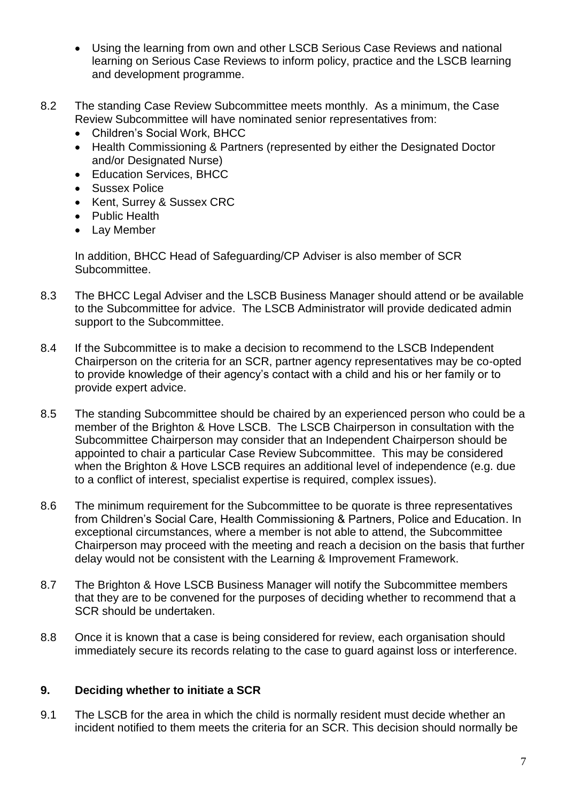- Using the learning from own and other LSCB Serious Case Reviews and national learning on Serious Case Reviews to inform policy, practice and the LSCB learning and development programme.
- 8.2 The standing Case Review Subcommittee meets monthly. As a minimum, the Case Review Subcommittee will have nominated senior representatives from:
	- Children's Social Work, BHCC
	- Health Commissioning & Partners (represented by either the Designated Doctor and/or Designated Nurse)
	- Education Services, BHCC
	- Sussex Police
	- Kent, Surrey & Sussex CRC
	- Public Health
	- Lay Member

In addition, BHCC Head of Safeguarding/CP Adviser is also member of SCR Subcommittee.

- 8.3 The BHCC Legal Adviser and the LSCB Business Manager should attend or be available to the Subcommittee for advice. The LSCB Administrator will provide dedicated admin support to the Subcommittee.
- 8.4 If the Subcommittee is to make a decision to recommend to the LSCB Independent Chairperson on the criteria for an SCR, partner agency representatives may be co-opted to provide knowledge of their agency's contact with a child and his or her family or to provide expert advice.
- 8.5 The standing Subcommittee should be chaired by an experienced person who could be a member of the Brighton & Hove LSCB. The LSCB Chairperson in consultation with the Subcommittee Chairperson may consider that an Independent Chairperson should be appointed to chair a particular Case Review Subcommittee. This may be considered when the Brighton & Hove LSCB requires an additional level of independence (e.g. due to a conflict of interest, specialist expertise is required, complex issues).
- 8.6 The minimum requirement for the Subcommittee to be quorate is three representatives from Children's Social Care, Health Commissioning & Partners, Police and Education. In exceptional circumstances, where a member is not able to attend, the Subcommittee Chairperson may proceed with the meeting and reach a decision on the basis that further delay would not be consistent with the Learning & Improvement Framework.
- 8.7 The Brighton & Hove LSCB Business Manager will notify the Subcommittee members that they are to be convened for the purposes of deciding whether to recommend that a SCR should be undertaken.
- 8.8 Once it is known that a case is being considered for review, each organisation should immediately secure its records relating to the case to guard against loss or interference.

# <span id="page-6-0"></span>**9. Deciding whether to initiate a SCR**

9.1 The LSCB for the area in which the child is normally resident must decide whether an incident notified to them meets the criteria for an SCR. This decision should normally be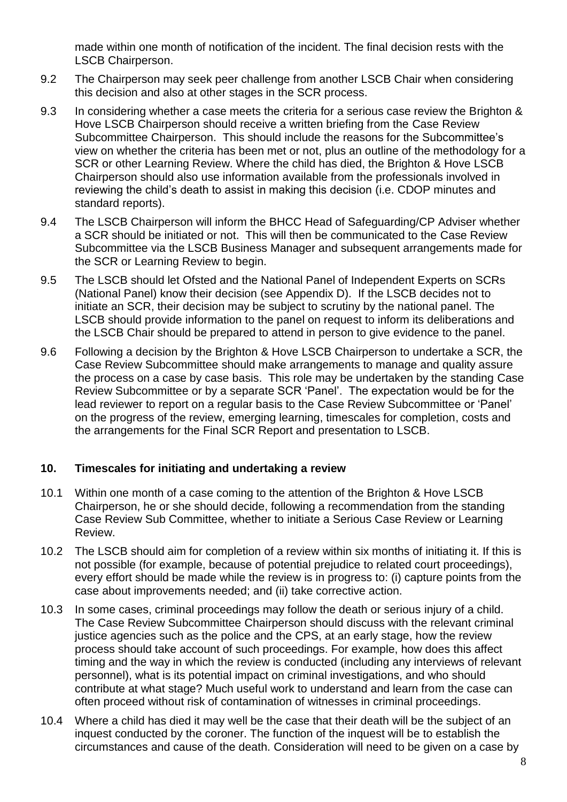made within one month of notification of the incident. The final decision rests with the LSCB Chairperson.

- 9.2 The Chairperson may seek peer challenge from another LSCB Chair when considering this decision and also at other stages in the SCR process.
- 9.3 In considering whether a case meets the criteria for a serious case review the Brighton & Hove LSCB Chairperson should receive a written briefing from the Case Review Subcommittee Chairperson. This should include the reasons for the Subcommittee's view on whether the criteria has been met or not, plus an outline of the methodology for a SCR or other Learning Review. Where the child has died, the Brighton & Hove LSCB Chairperson should also use information available from the professionals involved in reviewing the child's death to assist in making this decision (i.e. CDOP minutes and standard reports).
- 9.4 The LSCB Chairperson will inform the BHCC Head of Safeguarding/CP Adviser whether a SCR should be initiated or not. This will then be communicated to the Case Review Subcommittee via the LSCB Business Manager and subsequent arrangements made for the SCR or Learning Review to begin.
- 9.5 The LSCB should let Ofsted and the National Panel of Independent Experts on SCRs (National Panel) know their decision (see Appendix D). If the LSCB decides not to initiate an SCR, their decision may be subject to scrutiny by the national panel. The LSCB should provide information to the panel on request to inform its deliberations and the LSCB Chair should be prepared to attend in person to give evidence to the panel.
- 9.6 Following a decision by the Brighton & Hove LSCB Chairperson to undertake a SCR, the Case Review Subcommittee should make arrangements to manage and quality assure the process on a case by case basis. This role may be undertaken by the standing Case Review Subcommittee or by a separate SCR 'Panel'. The expectation would be for the lead reviewer to report on a regular basis to the Case Review Subcommittee or 'Panel' on the progress of the review, emerging learning, timescales for completion, costs and the arrangements for the Final SCR Report and presentation to LSCB.

# <span id="page-7-0"></span>**10. Timescales for initiating and undertaking a review**

- 10.1 Within one month of a case coming to the attention of the Brighton & Hove LSCB Chairperson, he or she should decide, following a recommendation from the standing Case Review Sub Committee, whether to initiate a Serious Case Review or Learning Review.
- 10.2 The LSCB should aim for completion of a review within six months of initiating it. If this is not possible (for example, because of potential prejudice to related court proceedings), every effort should be made while the review is in progress to: (i) capture points from the case about improvements needed; and (ii) take corrective action.
- 10.3 In some cases, criminal proceedings may follow the death or serious injury of a child. The Case Review Subcommittee Chairperson should discuss with the relevant criminal justice agencies such as the police and the CPS, at an early stage, how the review process should take account of such proceedings. For example, how does this affect timing and the way in which the review is conducted (including any interviews of relevant personnel), what is its potential impact on criminal investigations, and who should contribute at what stage? Much useful work to understand and learn from the case can often proceed without risk of contamination of witnesses in criminal proceedings.
- 10.4 Where a child has died it may well be the case that their death will be the subject of an inquest conducted by the coroner. The function of the inquest will be to establish the circumstances and cause of the death. Consideration will need to be given on a case by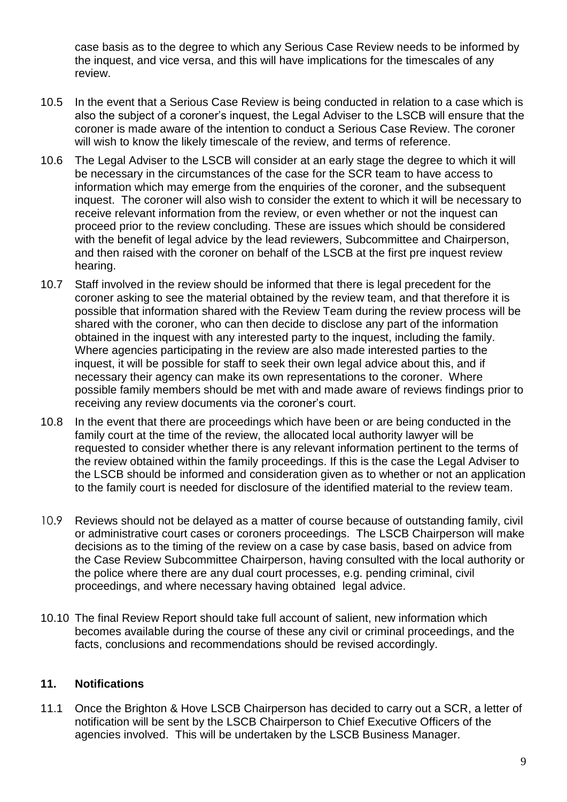case basis as to the degree to which any Serious Case Review needs to be informed by the inquest, and vice versa, and this will have implications for the timescales of any review.

- 10.5 In the event that a Serious Case Review is being conducted in relation to a case which is also the subject of a coroner's inquest, the Legal Adviser to the LSCB will ensure that the coroner is made aware of the intention to conduct a Serious Case Review. The coroner will wish to know the likely timescale of the review, and terms of reference.
- 10.6 The Legal Adviser to the LSCB will consider at an early stage the degree to which it will be necessary in the circumstances of the case for the SCR team to have access to information which may emerge from the enquiries of the coroner, and the subsequent inquest. The coroner will also wish to consider the extent to which it will be necessary to receive relevant information from the review, or even whether or not the inquest can proceed prior to the review concluding. These are issues which should be considered with the benefit of legal advice by the lead reviewers, Subcommittee and Chairperson, and then raised with the coroner on behalf of the LSCB at the first pre inquest review hearing.
- 10.7 Staff involved in the review should be informed that there is legal precedent for the coroner asking to see the material obtained by the review team, and that therefore it is possible that information shared with the Review Team during the review process will be shared with the coroner, who can then decide to disclose any part of the information obtained in the inquest with any interested party to the inquest, including the family. Where agencies participating in the review are also made interested parties to the inquest, it will be possible for staff to seek their own legal advice about this, and if necessary their agency can make its own representations to the coroner. Where possible family members should be met with and made aware of reviews findings prior to receiving any review documents via the coroner's court.
- 10.8 In the event that there are proceedings which have been or are being conducted in the family court at the time of the review, the allocated local authority lawyer will be requested to consider whether there is any relevant information pertinent to the terms of the review obtained within the family proceedings. If this is the case the Legal Adviser to the LSCB should be informed and consideration given as to whether or not an application to the family court is needed for disclosure of the identified material to the review team.
- 10.9 Reviews should not be delayed as a matter of course because of outstanding family, civil or administrative court cases or coroners proceedings. The LSCB Chairperson will make decisions as to the timing of the review on a case by case basis, based on advice from the Case Review Subcommittee Chairperson, having consulted with the local authority or the police where there are any dual court processes, e.g. pending criminal, civil proceedings, and where necessary having obtained legal advice.
- 10.10 The final Review Report should take full account of salient, new information which becomes available during the course of these any civil or criminal proceedings, and the facts, conclusions and recommendations should be revised accordingly.

# <span id="page-8-0"></span>**11. Notifications**

11.1 Once the Brighton & Hove LSCB Chairperson has decided to carry out a SCR, a letter of notification will be sent by the LSCB Chairperson to Chief Executive Officers of the agencies involved. This will be undertaken by the LSCB Business Manager.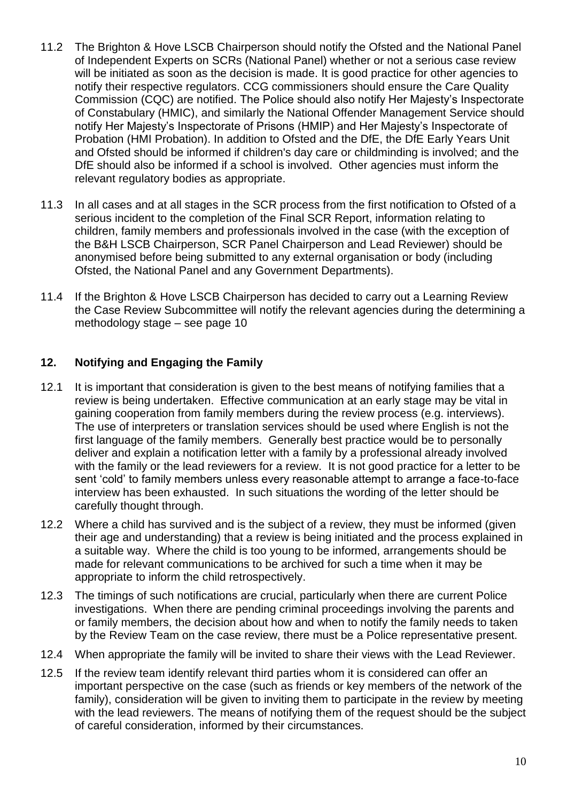- 11.2 The Brighton & Hove LSCB Chairperson should notify the Ofsted and the National Panel of Independent Experts on SCRs (National Panel) whether or not a serious case review will be initiated as soon as the decision is made. It is good practice for other agencies to notify their respective regulators. CCG commissioners should ensure the Care Quality Commission (CQC) are notified. The Police should also notify Her Majesty's Inspectorate of Constabulary (HMIC), and similarly the National Offender Management Service should notify Her Majesty's Inspectorate of Prisons (HMIP) and Her Majesty's Inspectorate of Probation (HMI Probation). In addition to Ofsted and the DfE, the DfE Early Years Unit and Ofsted should be informed if children's day care or childminding is involved; and the DfE should also be informed if a school is involved. Other agencies must inform the relevant regulatory bodies as appropriate.
- 11.3 In all cases and at all stages in the SCR process from the first notification to Ofsted of a serious incident to the completion of the Final SCR Report, information relating to children, family members and professionals involved in the case (with the exception of the B&H LSCB Chairperson, SCR Panel Chairperson and Lead Reviewer) should be anonymised before being submitted to any external organisation or body (including Ofsted, the National Panel and any Government Departments).
- 11.4 If the Brighton & Hove LSCB Chairperson has decided to carry out a Learning Review the Case Review Subcommittee will notify the relevant agencies during the determining a methodology stage – see page 10

# <span id="page-9-0"></span>**12. Notifying and Engaging the Family**

- 12.1 It is important that consideration is given to the best means of notifying families that a review is being undertaken. Effective communication at an early stage may be vital in gaining cooperation from family members during the review process (e.g. interviews). The use of interpreters or translation services should be used where English is not the first language of the family members. Generally best practice would be to personally deliver and explain a notification letter with a family by a professional already involved with the family or the lead reviewers for a review. It is not good practice for a letter to be sent 'cold' to family members unless every reasonable attempt to arrange a face-to-face interview has been exhausted. In such situations the wording of the letter should be carefully thought through.
- 12.2 Where a child has survived and is the subject of a review, they must be informed (given their age and understanding) that a review is being initiated and the process explained in a suitable way. Where the child is too young to be informed, arrangements should be made for relevant communications to be archived for such a time when it may be appropriate to inform the child retrospectively.
- 12.3 The timings of such notifications are crucial, particularly when there are current Police investigations. When there are pending criminal proceedings involving the parents and or family members, the decision about how and when to notify the family needs to taken by the Review Team on the case review, there must be a Police representative present.
- 12.4 When appropriate the family will be invited to share their views with the Lead Reviewer.
- 12.5 If the review team identify relevant third parties whom it is considered can offer an important perspective on the case (such as friends or key members of the network of the family), consideration will be given to inviting them to participate in the review by meeting with the lead reviewers. The means of notifying them of the request should be the subject of careful consideration, informed by their circumstances.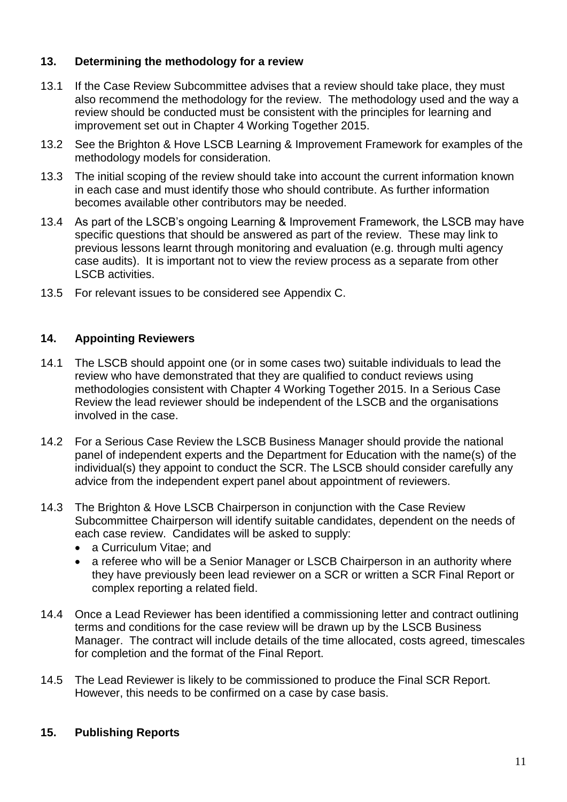# <span id="page-10-0"></span>**13. Determining the methodology for a review**

- 13.1 If the Case Review Subcommittee advises that a review should take place, they must also recommend the methodology for the review. The methodology used and the way a review should be conducted must be consistent with the principles for learning and improvement set out in Chapter 4 Working Together 2015.
- 13.2 See the Brighton & Hove LSCB Learning & Improvement Framework for examples of the methodology models for consideration.
- 13.3 The initial scoping of the review should take into account the current information known in each case and must identify those who should contribute. As further information becomes available other contributors may be needed.
- 13.4 As part of the LSCB's ongoing Learning & Improvement Framework, the LSCB may have specific questions that should be answered as part of the review. These may link to previous lessons learnt through monitoring and evaluation (e.g. through multi agency case audits). It is important not to view the review process as a separate from other LSCB activities.
- 13.5 For relevant issues to be considered see Appendix C.

# <span id="page-10-1"></span>**14. Appointing Reviewers**

- 14.1 The LSCB should appoint one (or in some cases two) suitable individuals to lead the review who have demonstrated that they are qualified to conduct reviews using methodologies consistent with Chapter 4 Working Together 2015. In a Serious Case Review the lead reviewer should be independent of the LSCB and the organisations involved in the case.
- 14.2 For a Serious Case Review the LSCB Business Manager should provide the national panel of independent experts and the Department for Education with the name(s) of the individual(s) they appoint to conduct the SCR. The LSCB should consider carefully any advice from the independent expert panel about appointment of reviewers.
- 14.3 The Brighton & Hove LSCB Chairperson in conjunction with the Case Review Subcommittee Chairperson will identify suitable candidates, dependent on the needs of each case review. Candidates will be asked to supply:
	- a Curriculum Vitae; and
	- a referee who will be a Senior Manager or LSCB Chairperson in an authority where they have previously been lead reviewer on a SCR or written a SCR Final Report or complex reporting a related field.
- 14.4 Once a Lead Reviewer has been identified a commissioning letter and contract outlining terms and conditions for the case review will be drawn up by the LSCB Business Manager. The contract will include details of the time allocated, costs agreed, timescales for completion and the format of the Final Report.
- 14.5 The Lead Reviewer is likely to be commissioned to produce the Final SCR Report. However, this needs to be confirmed on a case by case basis.

# <span id="page-10-2"></span>**15. Publishing Reports**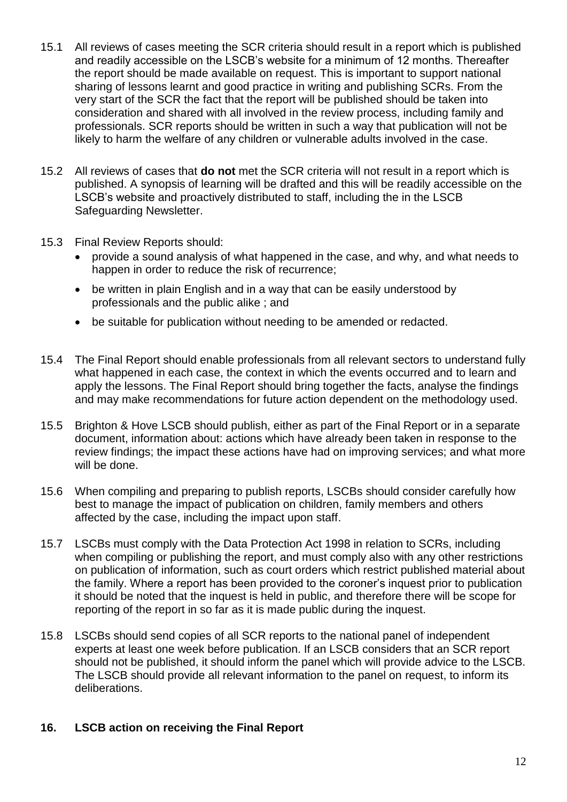- 15.1 All reviews of cases meeting the SCR criteria should result in a report which is published and readily accessible on the LSCB's website for a minimum of 12 months. Thereafter the report should be made available on request. This is important to support national sharing of lessons learnt and good practice in writing and publishing SCRs. From the very start of the SCR the fact that the report will be published should be taken into consideration and shared with all involved in the review process, including family and professionals. SCR reports should be written in such a way that publication will not be likely to harm the welfare of any children or vulnerable adults involved in the case.
- 15.2 All reviews of cases that **do not** met the SCR criteria will not result in a report which is published. A synopsis of learning will be drafted and this will be readily accessible on the LSCB's website and proactively distributed to staff, including the in the LSCB Safeguarding Newsletter.
- 15.3 Final Review Reports should:
	- provide a sound analysis of what happened in the case, and why, and what needs to happen in order to reduce the risk of recurrence;
	- be written in plain English and in a way that can be easily understood by professionals and the public alike ; and
	- be suitable for publication without needing to be amended or redacted.
- 15.4 The Final Report should enable professionals from all relevant sectors to understand fully what happened in each case, the context in which the events occurred and to learn and apply the lessons. The Final Report should bring together the facts, analyse the findings and may make recommendations for future action dependent on the methodology used.
- 15.5 Brighton & Hove LSCB should publish, either as part of the Final Report or in a separate document, information about: actions which have already been taken in response to the review findings; the impact these actions have had on improving services; and what more will be done.
- 15.6 When compiling and preparing to publish reports, LSCBs should consider carefully how best to manage the impact of publication on children, family members and others affected by the case, including the impact upon staff.
- 15.7 LSCBs must comply with the Data Protection Act 1998 in relation to SCRs, including when compiling or publishing the report, and must comply also with any other restrictions on publication of information, such as court orders which restrict published material about the family. Where a report has been provided to the coroner's inquest prior to publication it should be noted that the inquest is held in public, and therefore there will be scope for reporting of the report in so far as it is made public during the inquest.
- 15.8 LSCBs should send copies of all SCR reports to the national panel of independent experts at least one week before publication. If an LSCB considers that an SCR report should not be published, it should inform the panel which will provide advice to the LSCB. The LSCB should provide all relevant information to the panel on request, to inform its deliberations.

# <span id="page-11-0"></span>**16. LSCB action on receiving the Final Report**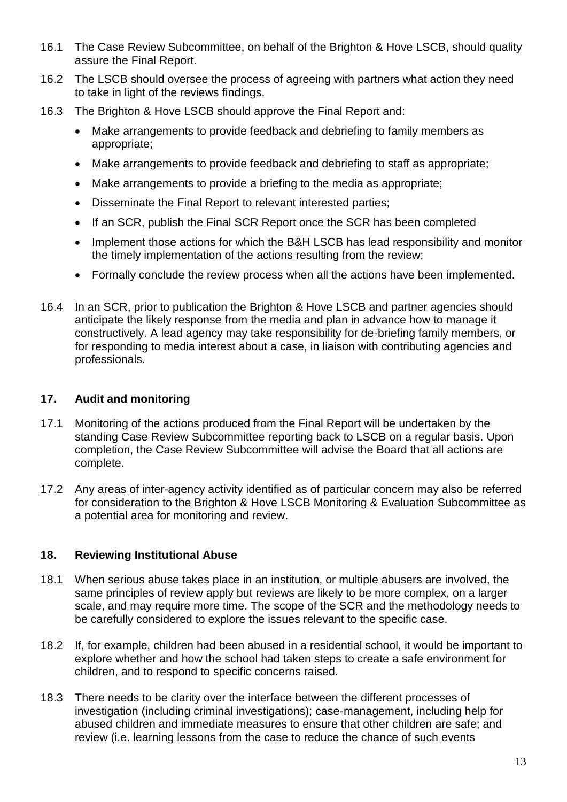- 16.1 The Case Review Subcommittee, on behalf of the Brighton & Hove LSCB, should quality assure the Final Report.
- 16.2 The LSCB should oversee the process of agreeing with partners what action they need to take in light of the reviews findings.
- 16.3 The Brighton & Hove LSCB should approve the Final Report and:
	- Make arrangements to provide feedback and debriefing to family members as appropriate;
	- Make arrangements to provide feedback and debriefing to staff as appropriate;
	- Make arrangements to provide a briefing to the media as appropriate;
	- Disseminate the Final Report to relevant interested parties;
	- If an SCR, publish the Final SCR Report once the SCR has been completed
	- Implement those actions for which the B&H LSCB has lead responsibility and monitor the timely implementation of the actions resulting from the review;
	- Formally conclude the review process when all the actions have been implemented.
- 16.4 In an SCR, prior to publication the Brighton & Hove LSCB and partner agencies should anticipate the likely response from the media and plan in advance how to manage it constructively. A lead agency may take responsibility for de-briefing family members, or for responding to media interest about a case, in liaison with contributing agencies and professionals.

## <span id="page-12-0"></span>**17. Audit and monitoring**

- 17.1 Monitoring of the actions produced from the Final Report will be undertaken by the standing Case Review Subcommittee reporting back to LSCB on a regular basis. Upon completion, the Case Review Subcommittee will advise the Board that all actions are complete.
- 17.2 Any areas of inter-agency activity identified as of particular concern may also be referred for consideration to the Brighton & Hove LSCB Monitoring & Evaluation Subcommittee as a potential area for monitoring and review.

# <span id="page-12-1"></span>**18. Reviewing Institutional Abuse**

- 18.1 When serious abuse takes place in an institution, or multiple abusers are involved, the same principles of review apply but reviews are likely to be more complex, on a larger scale, and may require more time. The scope of the SCR and the methodology needs to be carefully considered to explore the issues relevant to the specific case.
- 18.2 If, for example, children had been abused in a residential school, it would be important to explore whether and how the school had taken steps to create a safe environment for children, and to respond to specific concerns raised.
- 18.3 There needs to be clarity over the interface between the different processes of investigation (including criminal investigations); case-management, including help for abused children and immediate measures to ensure that other children are safe; and review (i.e. learning lessons from the case to reduce the chance of such events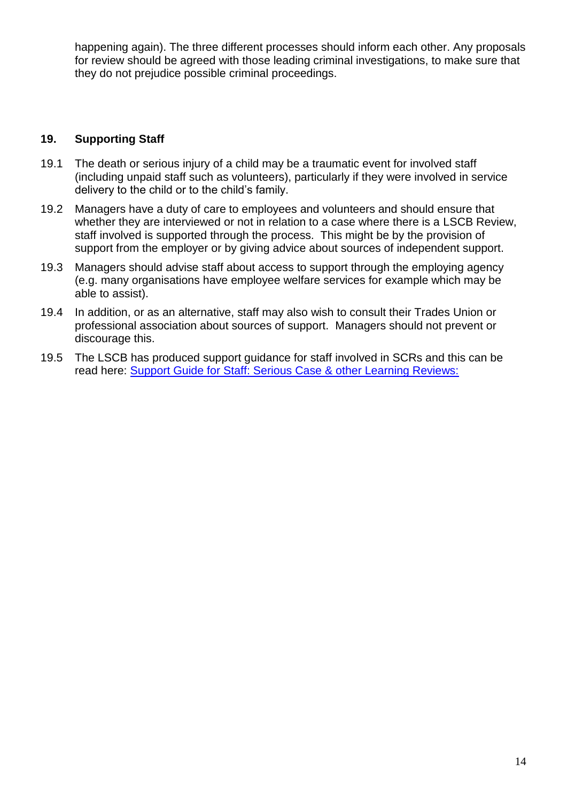happening again). The three different processes should inform each other. Any proposals for review should be agreed with those leading criminal investigations, to make sure that they do not prejudice possible criminal proceedings.

## <span id="page-13-0"></span>**19. Supporting Staff**

- 19.1 The death or serious injury of a child may be a traumatic event for involved staff (including unpaid staff such as volunteers), particularly if they were involved in service delivery to the child or to the child's family.
- 19.2 Managers have a duty of care to employees and volunteers and should ensure that whether they are interviewed or not in relation to a case where there is a LSCB Review, staff involved is supported through the process. This might be by the provision of support from the employer or by giving advice about sources of independent support.
- 19.3 Managers should advise staff about access to support through the employing agency (e.g. many organisations have employee welfare services for example which may be able to assist).
- 19.4 In addition, or as an alternative, staff may also wish to consult their Trades Union or professional association about sources of support. Managers should not prevent or discourage this.
- 19.5 The LSCB has produced support guidance for staff involved in SCRs and this can be read here: [Support Guide for Staff: Serious Case & other Learning Reviews:](http://brightonandhovelscb.org.uk/wp-content/uploads/LSCB-Case-Review-Guidance-for-Staff-FINAL.pdf)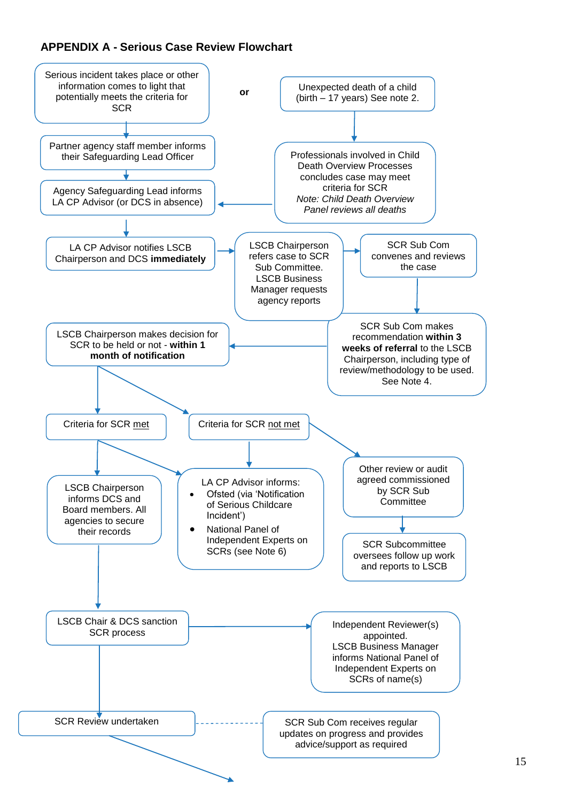# **APPENDIX A - Serious Case Review Flowchart**

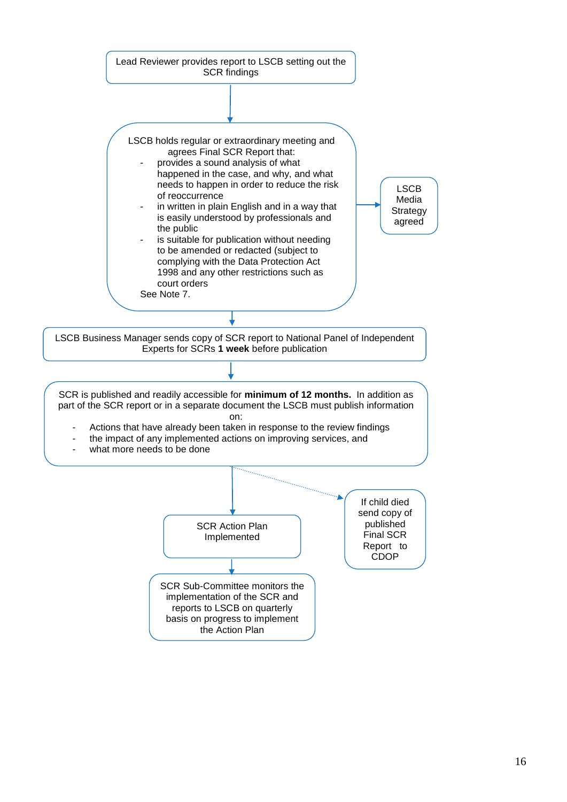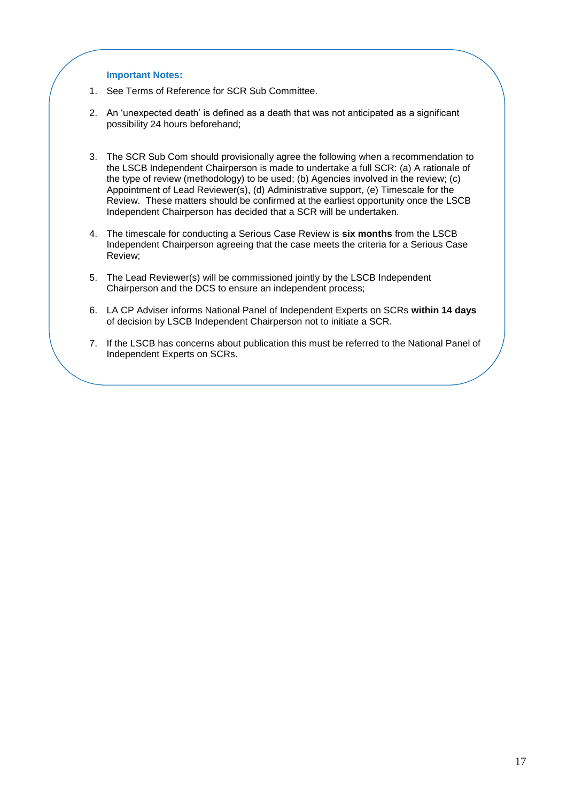#### **Important Notes:**

- 1. See Terms of Reference for SCR Sub Committee.
- 2. An 'unexpected death' is defined as a death that was not anticipated as a significant possibility 24 hours beforehand;
- 3. The SCR Sub Com should provisionally agree the following when a recommendation to the LSCB Independent Chairperson is made to undertake a full SCR: (a) A rationale of the type of review (methodology) to be used; (b) Agencies involved in the review; (c) Appointment of Lead Reviewer(s), (d) Administrative support, (e) Timescale for the Review. These matters should be confirmed at the earliest opportunity once the LSCB Independent Chairperson has decided that a SCR will be undertaken.
- 4. The timescale for conducting a Serious Case Review is **six months** from the LSCB Independent Chairperson agreeing that the case meets the criteria for a Serious Case Review;
- 5. The Lead Reviewer(s) will be commissioned jointly by the LSCB Independent Chairperson and the DCS to ensure an independent process;
- 6. LA CP Adviser informs National Panel of Independent Experts on SCRs **within 14 days** of decision by LSCB Independent Chairperson not to initiate a SCR.
- 7. If the LSCB has concerns about publication this must be referred to the National Panel of Independent Experts on SCRs.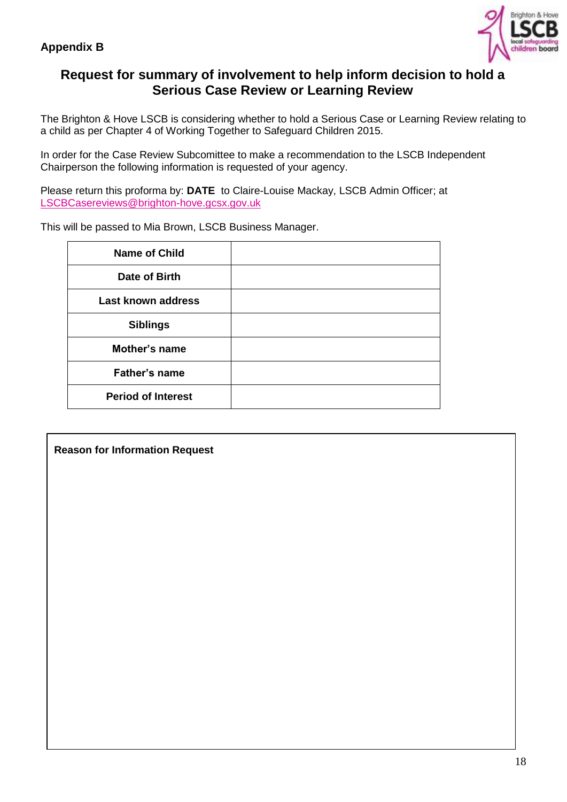

# **Request for summary of involvement to help inform decision to hold a Serious Case Review or Learning Review**

The Brighton & Hove LSCB is considering whether to hold a Serious Case or Learning Review relating to a child as per Chapter 4 of Working Together to Safeguard Children 2015.

In order for the Case Review Subcomittee to make a recommendation to the LSCB Independent Chairperson the following information is requested of your agency.

Please return this proforma by: **DATE** to Claire-Louise Mackay, LSCB Admin Officer; at [LSCBCasereviews@brighton-hove.gcsx.gov.uk](mailto:LSCBCasereviews@brighton-hove.gcsx.gov.uk)

[This will be](mailto:LSCBCasereviews@brighton-hove.gcsx.gov.uk) passed to Mia Brown, LSCB Business Manager.

| <b>Name of Child</b>      |  |
|---------------------------|--|
| Date of Birth             |  |
| <b>Last known address</b> |  |
| <b>Siblings</b>           |  |
| Mother's name             |  |
| <b>Father's name</b>      |  |
| <b>Period of Interest</b> |  |

**Reason for Information Request**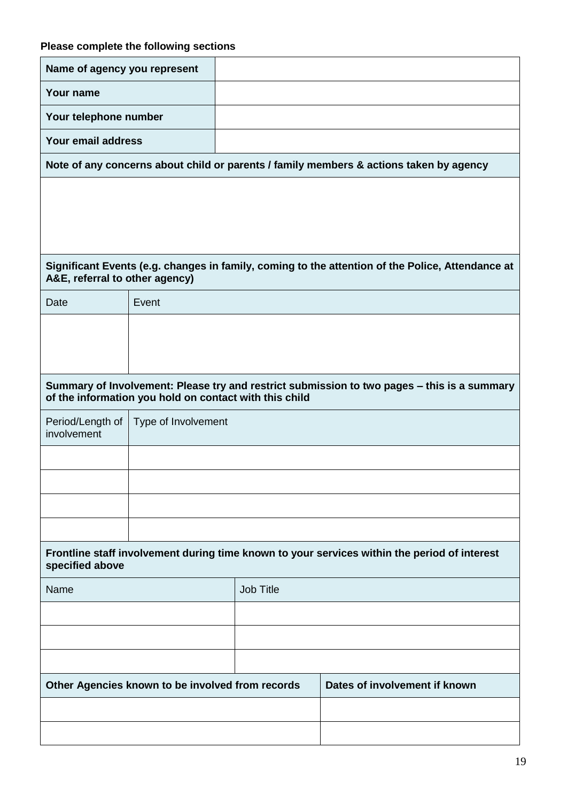| Name of agency you represent    |                                                        |                  |                                                                                                  |
|---------------------------------|--------------------------------------------------------|------------------|--------------------------------------------------------------------------------------------------|
| Your name                       |                                                        |                  |                                                                                                  |
| Your telephone number           |                                                        |                  |                                                                                                  |
| Your email address              |                                                        |                  |                                                                                                  |
|                                 |                                                        |                  | Note of any concerns about child or parents / family members & actions taken by agency           |
|                                 |                                                        |                  |                                                                                                  |
|                                 |                                                        |                  |                                                                                                  |
|                                 |                                                        |                  |                                                                                                  |
| A&E, referral to other agency)  |                                                        |                  | Significant Events (e.g. changes in family, coming to the attention of the Police, Attendance at |
| Date                            | Event                                                  |                  |                                                                                                  |
|                                 |                                                        |                  |                                                                                                  |
|                                 |                                                        |                  |                                                                                                  |
|                                 |                                                        |                  | Summary of Involvement: Please try and restrict submission to two pages - this is a summary      |
|                                 | of the information you hold on contact with this child |                  |                                                                                                  |
| Period/Length of<br>involvement | Type of Involvement                                    |                  |                                                                                                  |
|                                 |                                                        |                  |                                                                                                  |
|                                 |                                                        |                  |                                                                                                  |
|                                 |                                                        |                  |                                                                                                  |
|                                 |                                                        |                  |                                                                                                  |
| specified above                 |                                                        |                  | Frontline staff involvement during time known to your services within the period of interest     |
| Name                            |                                                        | <b>Job Title</b> |                                                                                                  |
|                                 |                                                        |                  |                                                                                                  |
|                                 |                                                        |                  |                                                                                                  |
|                                 |                                                        |                  |                                                                                                  |
|                                 | Other Agencies known to be involved from records       |                  | Dates of involvement if known                                                                    |
|                                 |                                                        |                  |                                                                                                  |
|                                 |                                                        |                  |                                                                                                  |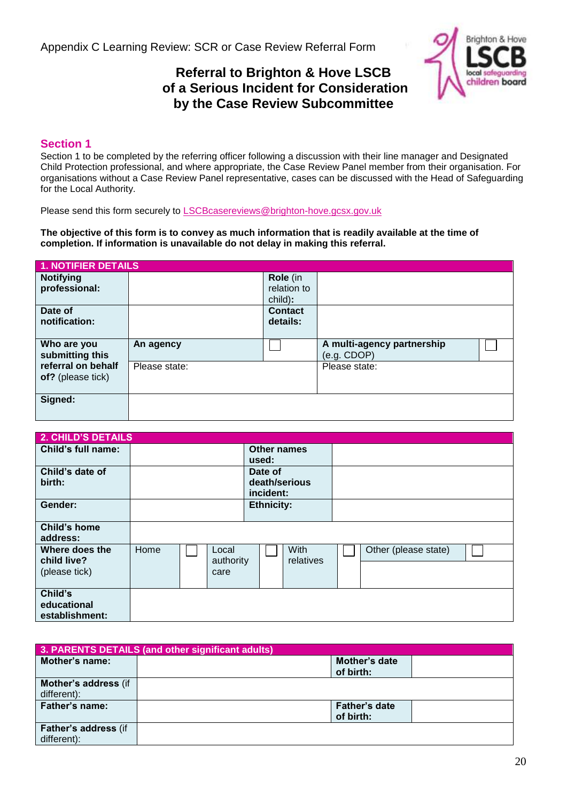# **Referral to Brighton & Hove LSCB of a Serious Incident for Consideration by the Case Review Subcommittee**



### **Section 1**

Section 1 to be completed by the referring officer following a discussion with their line manager and Designated Child Protection professional, and where appropriate, the Case Review Panel member from their organisation. For organisations without a Case Review Panel representative, cases can be discussed with the Head of Safeguarding for the Local Authority.

Please send this form securely to [LSCBcasereviews@brighton-hove.gcsx.gov.uk](mailto:LSCBcasereviews@brighton-hove.gcsx.gov.uk)

**The objective of this form is to convey as much information that is readily available at the time of completion. If information is unavailable do not delay in making this referral.**

| <b>1. NOTIFIER DETAILS</b>              |               |                |                                           |  |
|-----------------------------------------|---------------|----------------|-------------------------------------------|--|
| <b>Notifying</b>                        |               | Role (in       |                                           |  |
| professional:                           |               | relation to    |                                           |  |
|                                         |               | child):        |                                           |  |
| Date of                                 |               | <b>Contact</b> |                                           |  |
| notification:                           |               | details:       |                                           |  |
|                                         |               |                |                                           |  |
| Who are you<br>submitting this          | An agency     |                | A multi-agency partnership<br>(e.g. CDOP) |  |
| referral on behalf<br>of? (please tick) | Please state: |                | Please state:                             |  |
| Signed:                                 |               |                |                                           |  |

| <b>2. CHILD'S DETAILS</b>                      |      |                            |                                       |                   |                      |  |
|------------------------------------------------|------|----------------------------|---------------------------------------|-------------------|----------------------|--|
| Child's full name:                             |      |                            | Other names<br>used:                  |                   |                      |  |
| Child's date of<br>birth:                      |      |                            | Date of<br>death/serious<br>incident: |                   |                      |  |
| Gender:                                        |      |                            | <b>Ethnicity:</b>                     |                   |                      |  |
| <b>Child's home</b><br>address:                |      |                            |                                       |                   |                      |  |
| Where does the<br>child live?<br>(please tick) | Home | Local<br>authority<br>care |                                       | With<br>relatives | Other (please state) |  |
| Child's<br>educational<br>establishment:       |      |                            |                                       |                   |                      |  |

|                                     | 3. PARENTS DETAILS (and other significant adults) |                                   |  |  |  |
|-------------------------------------|---------------------------------------------------|-----------------------------------|--|--|--|
| Mother's name:                      |                                                   | Mother's date<br>of birth:        |  |  |  |
| Mother's address (if<br>different): |                                                   |                                   |  |  |  |
| <b>Father's name:</b>               |                                                   | <b>Father's date</b><br>of birth: |  |  |  |
| Father's address (if<br>different): |                                                   |                                   |  |  |  |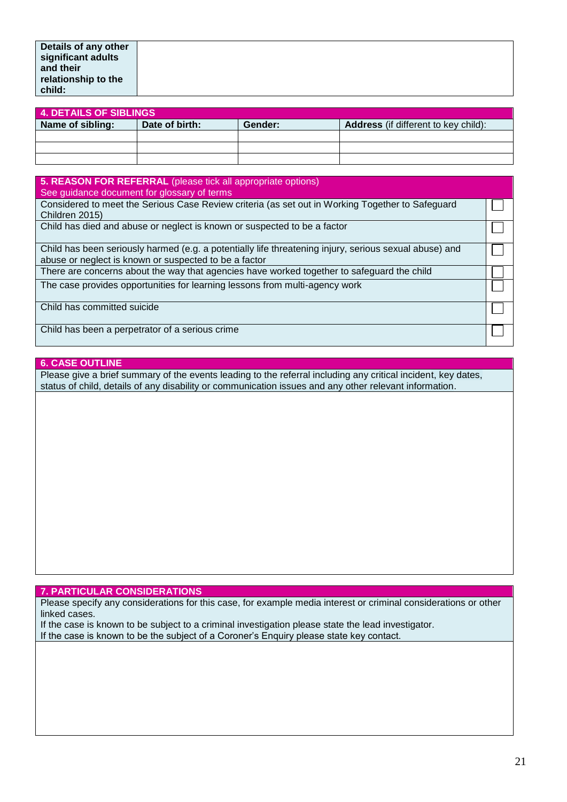|                  | <b>4. DETAILS OF SIBLINGS</b> |         |                                             |  |
|------------------|-------------------------------|---------|---------------------------------------------|--|
| Name of sibling: | Date of birth:                | Gender: | <b>Address</b> (if different to key child): |  |
|                  |                               |         |                                             |  |
|                  |                               |         |                                             |  |
|                  |                               |         |                                             |  |
|                  |                               |         |                                             |  |

| 5. REASON FOR REFERRAL (please tick all appropriate options)                                           |  |
|--------------------------------------------------------------------------------------------------------|--|
| See guidance document for glossary of terms                                                            |  |
| Considered to meet the Serious Case Review criteria (as set out in Working Together to Safeguard       |  |
| Children 2015)                                                                                         |  |
| Child has died and abuse or neglect is known or suspected to be a factor                               |  |
|                                                                                                        |  |
| Child has been seriously harmed (e.g. a potentially life threatening injury, serious sexual abuse) and |  |
| abuse or neglect is known or suspected to be a factor                                                  |  |
| There are concerns about the way that agencies have worked together to safeguard the child             |  |
| The case provides opportunities for learning lessons from multi-agency work                            |  |
|                                                                                                        |  |
| Child has committed suicide                                                                            |  |
|                                                                                                        |  |
| Child has been a perpetrator of a serious crime                                                        |  |
|                                                                                                        |  |

#### **6. CASE OUTLINE**

Please give a brief summary of the events leading to the referral including any critical incident, key dates, status of child, details of any disability or communication issues and any other relevant information.

#### **7. PARTICULAR CONSIDERATIONS**

Please specify any considerations for this case, for example media interest or criminal considerations or other linked cases.

If the case is known to be subject to a criminal investigation please state the lead investigator. If the case is known to be the subject of a Coroner's Enquiry please state key contact.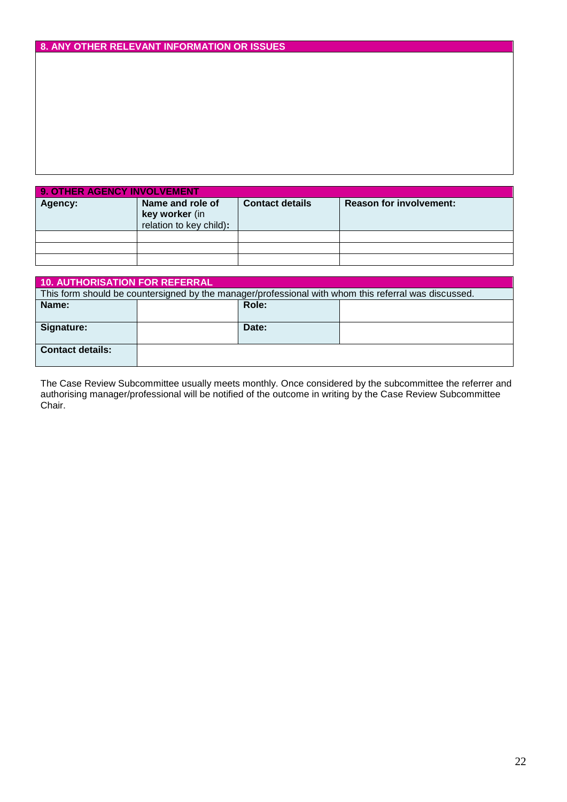## **8. ANY OTHER RELEVANT INFORMATION OR ISSUES**

| 9. OTHER AGENCY INVOLVEMENT |                                                               |                        |                                |  |
|-----------------------------|---------------------------------------------------------------|------------------------|--------------------------------|--|
| Agency:                     | Name and role of<br>key worker (in<br>relation to key child): | <b>Contact details</b> | <b>Reason for involvement:</b> |  |
|                             |                                                               |                        |                                |  |
|                             |                                                               |                        |                                |  |
|                             |                                                               |                        |                                |  |

| <b>10. AUTHORISATION FOR REFERRAL</b> |  |       |                                                                                                      |
|---------------------------------------|--|-------|------------------------------------------------------------------------------------------------------|
|                                       |  |       | This form should be countersigned by the manager/professional with whom this referral was discussed. |
| Name:                                 |  | Role: |                                                                                                      |
|                                       |  |       |                                                                                                      |
| Signature:                            |  | Date: |                                                                                                      |
|                                       |  |       |                                                                                                      |
| <b>Contact details:</b>               |  |       |                                                                                                      |
|                                       |  |       |                                                                                                      |

The Case Review Subcommittee usually meets monthly. Once considered by the subcommittee the referrer and authorising manager/professional will be notified of the outcome in writing by the Case Review Subcommittee Chair.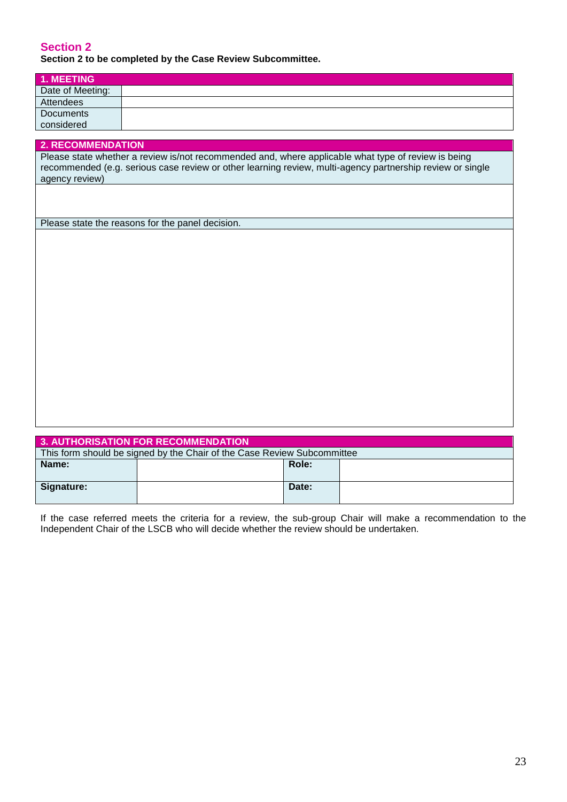#### **Section 2 Section 2 to be completed by the Case Review Subcommittee.**

| <b>1. MEETING</b> |  |
|-------------------|--|
| Date of Meeting:  |  |
| Attendees         |  |
| <b>Documents</b>  |  |
| considered        |  |

## **2. RECOMMENDATION** Please state whether a review is/not recommended and, where applicable what type of review is being recommended (e.g. serious case review or other learning review, multi-agency partnership review or single agency review)

Please state the reasons for the panel decision.

| <b>3. AUTHORISATION FOR RECOMMENDATION</b>                              |  |       |  |  |  |
|-------------------------------------------------------------------------|--|-------|--|--|--|
| This form should be signed by the Chair of the Case Review Subcommittee |  |       |  |  |  |
| Name:                                                                   |  | Role: |  |  |  |
|                                                                         |  |       |  |  |  |
| Signature:                                                              |  | Date: |  |  |  |
|                                                                         |  |       |  |  |  |

If the case referred meets the criteria for a review, the sub-group Chair will make a recommendation to the Independent Chair of the LSCB who will decide whether the review should be undertaken.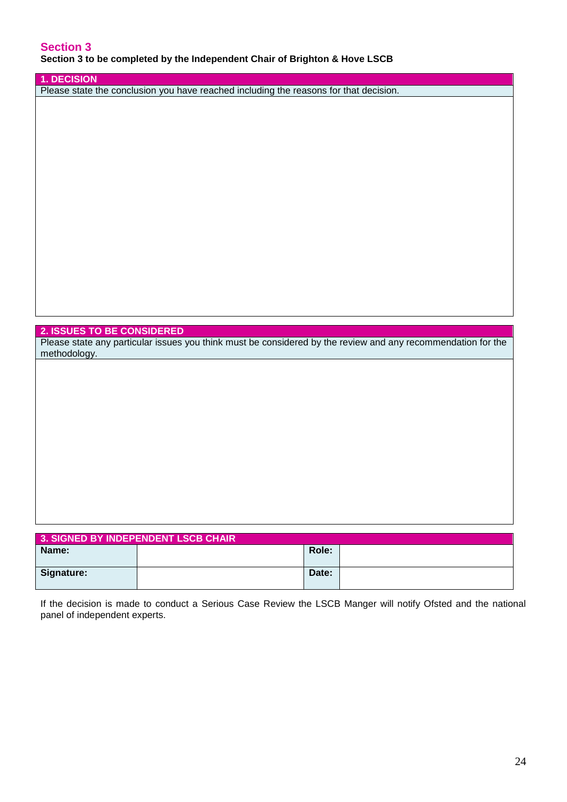### **Section 3 Section 3 to be completed by the Independent Chair of Brighton & Hove LSCB**

#### **1. DECISION**

Please state the conclusion you have reached including the reasons for that decision.

#### **2. ISSUES TO BE CONSIDERED**

Please state any particular issues you think must be considered by the review and any recommendation for the methodology.

| 3. SIGNED BY INDEPENDENT LSCB CHAIR |  |       |  |  |
|-------------------------------------|--|-------|--|--|
| Name:                               |  | Role: |  |  |
| Signature:                          |  | Date: |  |  |

If the decision is made to conduct a Serious Case Review the LSCB Manger will notify Ofsted and the national panel of independent experts.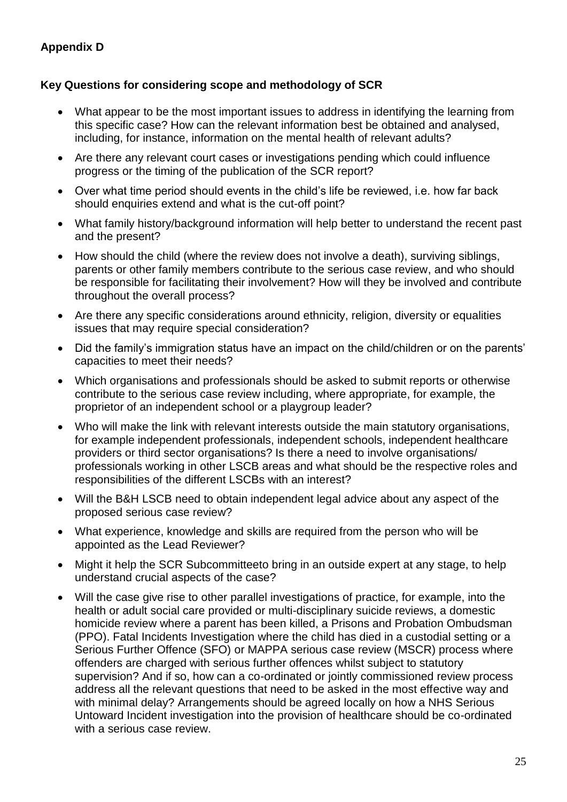# **Appendix D**

# **Key Questions for considering scope and methodology of SCR**

- What appear to be the most important issues to address in identifying the learning from this specific case? How can the relevant information best be obtained and analysed, including, for instance, information on the mental health of relevant adults?
- Are there any relevant court cases or investigations pending which could influence progress or the timing of the publication of the SCR report?
- Over what time period should events in the child's life be reviewed, i.e. how far back should enquiries extend and what is the cut-off point?
- What family history/background information will help better to understand the recent past and the present?
- How should the child (where the review does not involve a death), surviving siblings, parents or other family members contribute to the serious case review, and who should be responsible for facilitating their involvement? How will they be involved and contribute throughout the overall process?
- Are there any specific considerations around ethnicity, religion, diversity or equalities issues that may require special consideration?
- Did the family's immigration status have an impact on the child/children or on the parents' capacities to meet their needs?
- Which organisations and professionals should be asked to submit reports or otherwise contribute to the serious case review including, where appropriate, for example, the proprietor of an independent school or a playgroup leader?
- Who will make the link with relevant interests outside the main statutory organisations, for example independent professionals, independent schools, independent healthcare providers or third sector organisations? Is there a need to involve organisations/ professionals working in other LSCB areas and what should be the respective roles and responsibilities of the different LSCBs with an interest?
- Will the B&H LSCB need to obtain independent legal advice about any aspect of the proposed serious case review?
- What experience, knowledge and skills are required from the person who will be appointed as the Lead Reviewer?
- Might it help the SCR Subcommitteeto bring in an outside expert at any stage, to help understand crucial aspects of the case?
- Will the case give rise to other parallel investigations of practice, for example, into the health or adult social care provided or multi-disciplinary suicide reviews, a domestic homicide review where a parent has been killed, a Prisons and Probation Ombudsman (PPO). Fatal Incidents Investigation where the child has died in a custodial setting or a Serious Further Offence (SFO) or MAPPA serious case review (MSCR) process where offenders are charged with serious further offences whilst subject to statutory supervision? And if so, how can a co-ordinated or jointly commissioned review process address all the relevant questions that need to be asked in the most effective way and with minimal delay? Arrangements should be agreed locally on how a NHS Serious Untoward Incident investigation into the provision of healthcare should be co-ordinated with a serious case review.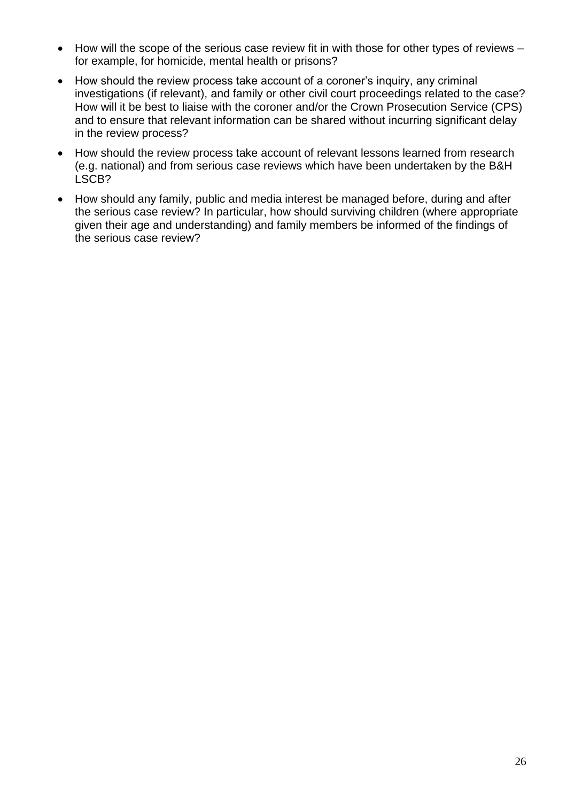- How will the scope of the serious case review fit in with those for other types of reviews for example, for homicide, mental health or prisons?
- How should the review process take account of a coroner's inquiry, any criminal investigations (if relevant), and family or other civil court proceedings related to the case? How will it be best to liaise with the coroner and/or the Crown Prosecution Service (CPS) and to ensure that relevant information can be shared without incurring significant delay in the review process?
- How should the review process take account of relevant lessons learned from research (e.g. national) and from serious case reviews which have been undertaken by the B&H LSCB?
- <span id="page-25-0"></span>• How should any family, public and media interest be managed before, during and after the serious case review? In particular, how should surviving children (where appropriate given their age and understanding) and family members be informed of the findings of the serious case review?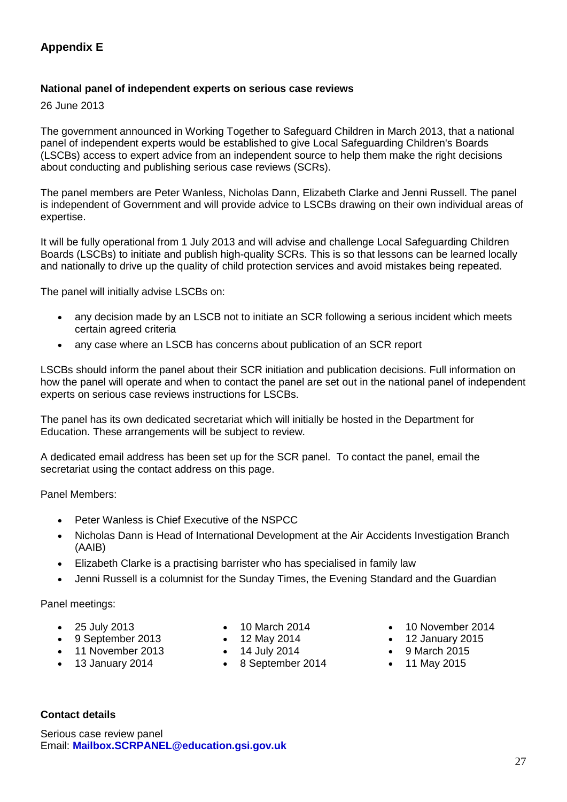# **Appendix E**

### **National panel of independent experts on serious case reviews**

26 June 2013

The government announced in Working Together to Safeguard Children in March 2013, that a national panel of independent experts would be established to give Local Safeguarding Children's Boards (LSCBs) access to expert advice from an independent source to help them make the right decisions about conducting and publishing serious case reviews (SCRs).

The panel members are Peter Wanless, Nicholas Dann, Elizabeth Clarke and Jenni Russell. The panel is independent of Government and will provide advice to LSCBs drawing on their own individual areas of expertise.

It will be fully operational from 1 July 2013 and will advise and challenge Local Safeguarding Children Boards (LSCBs) to initiate and publish high-quality SCRs. This is so that lessons can be learned locally and nationally to drive up the quality of child protection services and avoid mistakes being repeated.

The panel will initially advise LSCBs on:

- any decision made by an LSCB not to initiate an SCR following a serious incident which meets certain agreed criteria
- any case where an LSCB has concerns about publication of an SCR report

LSCBs should inform the panel about their SCR initiation and publication decisions. Full information on how the panel will operate and when to contact the panel are set out in the national panel of independent experts on serious case reviews instructions for LSCBs.

The panel has its own dedicated secretariat which will initially be hosted in the Department for Education. These arrangements will be subject to review.

A dedicated email address has been set up for the SCR panel. To contact the panel, email the secretariat using the contact address on this page.

Panel Members:

- Peter Wanless is Chief Executive of the NSPCC
- Nicholas Dann is Head of International Development at the Air Accidents Investigation Branch (AAIB)
- Elizabeth Clarke is a practising barrister who has specialised in family law
- Jenni Russell is a columnist for the Sunday Times, the Evening Standard and the Guardian

Panel meetings:

- 25 July 2013
- 9 September 2013
- 11 November 2013
- 13 January 2014
- 10 March 2014
- 12 May 2014
- $\bullet$  14 July 2014
- 8 September 2014
- 10 November 2014
- 12 January 2015
- 9 March 2015
- $\bullet$  11 May 2015

### **Contact details**

Serious case review panel Email: **[Mailbox.SCRPANEL@education.gsi.gov.uk](mailto:Mailbox.SCRPANEL@education.gsi.gov.uk)**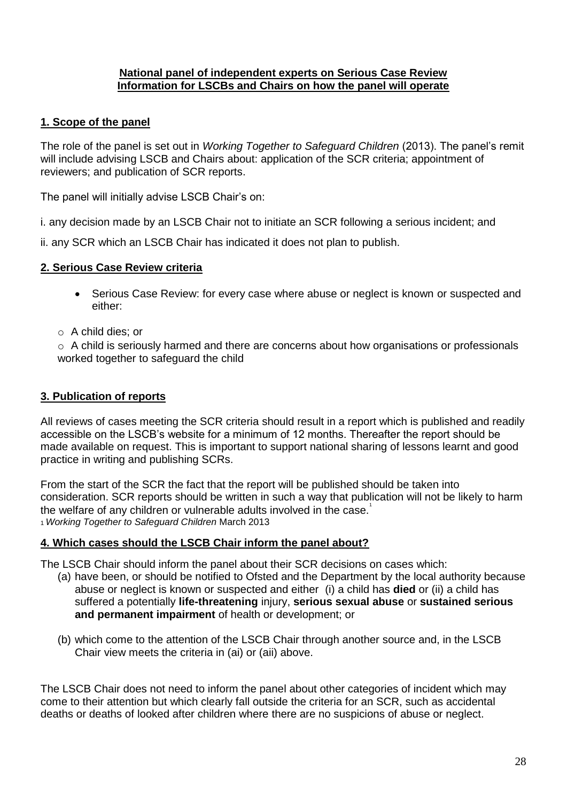### **National panel of independent experts on Serious Case Review Information for LSCBs and Chairs on how the panel will operate**

## <span id="page-27-0"></span>**1. Scope of the panel**

The role of the panel is set out in *Working Together to Safeguard Children* (2013). The panel's remit will include advising LSCB and Chairs about: application of the SCR criteria; appointment of reviewers; and publication of SCR reports.

The panel will initially advise LSCB Chair's on:

i. any decision made by an LSCB Chair not to initiate an SCR following a serious incident; and

ii. any SCR which an LSCB Chair has indicated it does not plan to publish.

## **2. Serious Case Review criteria**

- Serious Case Review: for every case where abuse or neglect is known or suspected and either:
- o A child dies; or

o A child is seriously harmed and there are concerns about how organisations or professionals worked together to safeguard the child

## **3. Publication of reports**

All reviews of cases meeting the SCR criteria should result in a report which is published and readily accessible on the LSCB's website for a minimum of 12 months. Thereafter the report should be made available on request. This is important to support national sharing of lessons learnt and good practice in writing and publishing SCRs.

From the start of the SCR the fact that the report will be published should be taken into consideration. SCR reports should be written in such a way that publication will not be likely to harm the welfare of any children or vulnerable adults involved in the case. $1$ <sup>1</sup>*Working Together to Safeguard Children* March 2013

## **4. Which cases should the LSCB Chair inform the panel about?**

The LSCB Chair should inform the panel about their SCR decisions on cases which:

- (a) have been, or should be notified to Ofsted and the Department by the local authority because abuse or neglect is known or suspected and either (i) a child has **died** or (ii) a child has suffered a potentially **life-threatening** injury, **serious sexual abuse** or **sustained serious and permanent impairment** of health or development; or
- (b) which come to the attention of the LSCB Chair through another source and, in the LSCB Chair view meets the criteria in (ai) or (aii) above.

The LSCB Chair does not need to inform the panel about other categories of incident which may come to their attention but which clearly fall outside the criteria for an SCR, such as accidental deaths or deaths of looked after children where there are no suspicions of abuse or neglect.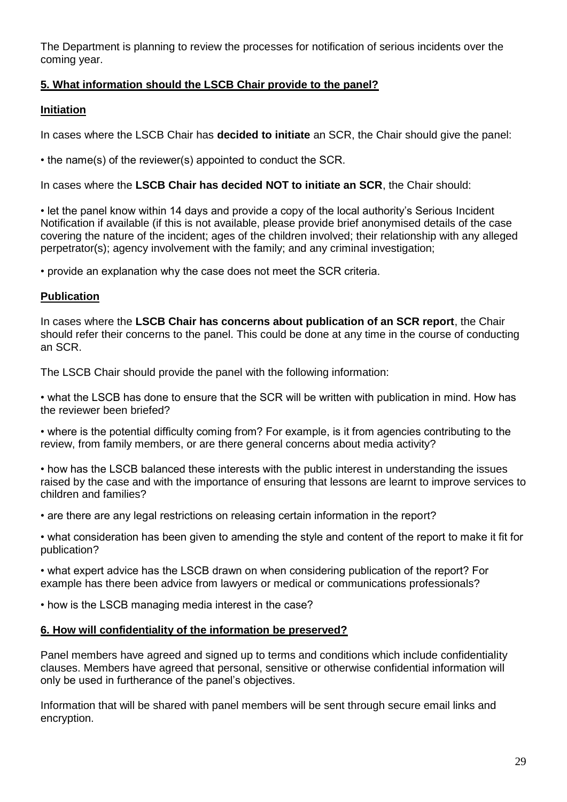The Department is planning to review the processes for notification of serious incidents over the coming year.

# **5. What information should the LSCB Chair provide to the panel?**

## **Initiation**

In cases where the LSCB Chair has **decided to initiate** an SCR, the Chair should give the panel:

• the name(s) of the reviewer(s) appointed to conduct the SCR.

In cases where the **LSCB Chair has decided NOT to initiate an SCR**, the Chair should:

• let the panel know within 14 days and provide a copy of the local authority's Serious Incident Notification if available (if this is not available, please provide brief anonymised details of the case covering the nature of the incident; ages of the children involved; their relationship with any alleged perpetrator(s); agency involvement with the family; and any criminal investigation;

• provide an explanation why the case does not meet the SCR criteria.

## **Publication**

In cases where the **LSCB Chair has concerns about publication of an SCR report**, the Chair should refer their concerns to the panel. This could be done at any time in the course of conducting an SCR.

The LSCB Chair should provide the panel with the following information:

• what the LSCB has done to ensure that the SCR will be written with publication in mind. How has the reviewer been briefed?

• where is the potential difficulty coming from? For example, is it from agencies contributing to the review, from family members, or are there general concerns about media activity?

• how has the LSCB balanced these interests with the public interest in understanding the issues raised by the case and with the importance of ensuring that lessons are learnt to improve services to children and families?

• are there are any legal restrictions on releasing certain information in the report?

• what consideration has been given to amending the style and content of the report to make it fit for publication?

• what expert advice has the LSCB drawn on when considering publication of the report? For example has there been advice from lawyers or medical or communications professionals?

• how is the LSCB managing media interest in the case?

## **6. How will confidentiality of the information be preserved?**

Panel members have agreed and signed up to terms and conditions which include confidentiality clauses. Members have agreed that personal, sensitive or otherwise confidential information will only be used in furtherance of the panel's objectives.

Information that will be shared with panel members will be sent through secure email links and encryption.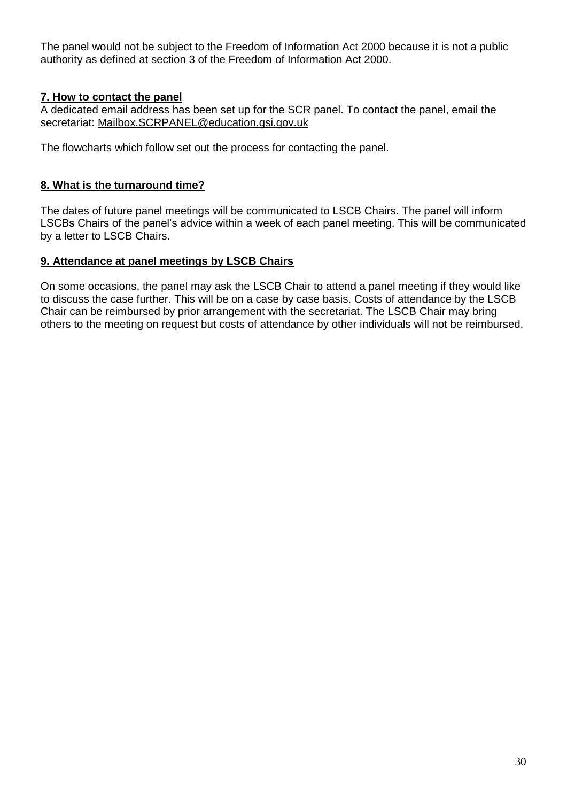The panel would not be subject to the Freedom of Information Act 2000 because it is not a public authority as defined at section 3 of the Freedom of Information Act 2000.

## **7. How to contact the panel**

A dedicated email address has been set up for the SCR panel. To contact the panel, email the secretariat: Mailbox.SCRPANEL@education.gsi.gov.uk

The flowcharts which follow set out the process for contacting the panel.

## **8. What is the turnaround time?**

The dates of future panel meetings will be communicated to LSCB Chairs. The panel will inform LSCBs Chairs of the panel's advice within a week of each panel meeting. This will be communicated by a letter to LSCB Chairs.

### **9. Attendance at panel meetings by LSCB Chairs**

<span id="page-29-0"></span>On some occasions, the panel may ask the LSCB Chair to attend a panel meeting if they would like to discuss the case further. This will be on a case by case basis. Costs of attendance by the LSCB Chair can be reimbursed by prior arrangement with the secretariat. The LSCB Chair may bring others to the meeting on request but costs of attendance by other individuals will not be reimbursed.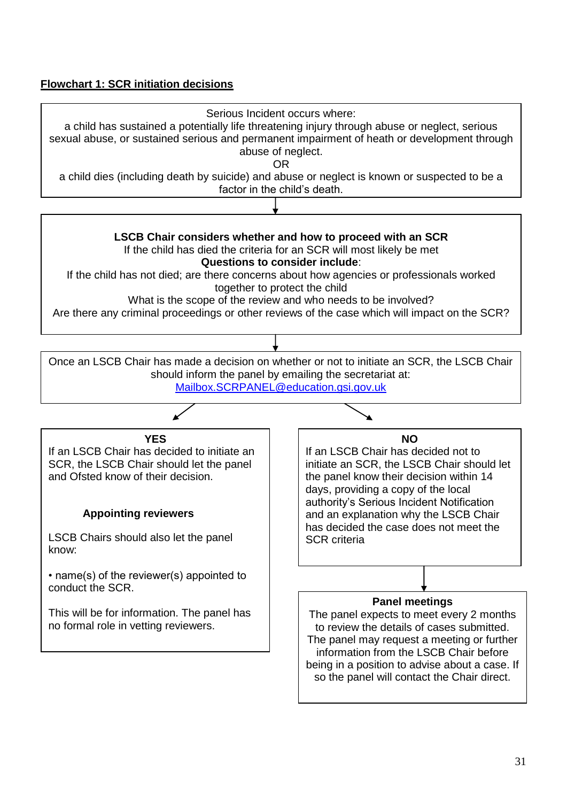## **Flowchart 1: SCR initiation decisions**

<span id="page-30-0"></span>